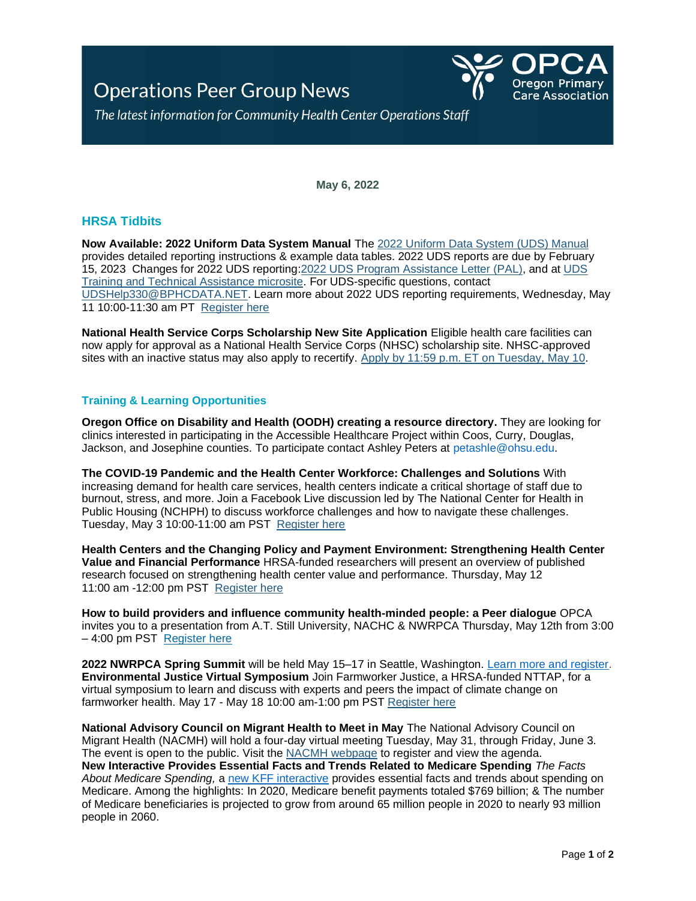## **Operations Peer Group News**



The latest information for Community Health Center Operations Staff

**May 6, 2022**

## **HRSA Tidbits**

**Now Available: 2022 Uniform Data System Manual** The [2022 Uniform Data System \(UDS\) Manual](https://lnks.gd/l/eyJhbGciOiJIUzI1NiJ9.eyJidWxsZXRpbl9saW5rX2lkIjoxMDAsInVyaSI6ImJwMjpjbGljayIsImJ1bGxldGluX2lkIjoiMjAyMjA0MjYuNTY5OTAxMTEiLCJ1cmwiOiJodHRwczovL2JwaGMuaHJzYS5nb3Yvc2l0ZXMvZGVmYXVsdC9maWxlcy9icGhjL2RhdGFyZXBvcnRpbmcvcGRmLzIwMjItdWRzLW1hbnVhbC5wZGYifQ.zTSloUmBEUODE2KjHF6YKjiDkm7XIIBRm5gg0khg6II/s/976936222/br/130361910119-l) provides detailed reporting instructions & example data tables. 2022 UDS reports are due by February 15, 2023 Changes for 2022 UDS reporting[:2022 UDS Program Assistance Letter \(PAL\),](https://lnks.gd/l/eyJhbGciOiJIUzI1NiJ9.eyJidWxsZXRpbl9saW5rX2lkIjoxMDEsInVyaSI6ImJwMjpjbGljayIsImJ1bGxldGluX2lkIjoiMjAyMjA0MjYuNTY5OTAxMTEiLCJ1cmwiOiJodHRwczovL2JwaGMuaHJzYS5nb3Yvc2l0ZXMvZGVmYXVsdC9maWxlcy9icGhjL2RhdGFyZXBvcnRpbmcvcGRmLzIwMjItdWRzLXBhbC0yMDIxLTA1LnBkZiJ9.jSpIXpg9Y8Ui_eY_IQdvgpHNI4PJyvxGId2p4Q43hT0/s/976936222/br/130361910119-l) and at [UDS](https://lnks.gd/l/eyJhbGciOiJIUzI1NiJ9.eyJidWxsZXRpbl9saW5rX2lkIjoxMDIsInVyaSI6ImJwMjpjbGljayIsImJ1bGxldGluX2lkIjoiMjAyMjA0MjYuNTY5OTAxMTEiLCJ1cmwiOiJodHRwczovL2JwaGMuaHJzYS5nb3YvZGF0YS1yZXBvcnRpbmcvdWRzLXRyYWluaW5nLWFuZC10ZWNobmljYWwtYXNzaXN0YW5jZSJ9.YEb5kmWxZQ56L24Ke-7RbznKRLutkEGpLG3GUxcBZV0/s/976936222/br/130361910119-l)  [Training and Technical Assistance microsite.](https://lnks.gd/l/eyJhbGciOiJIUzI1NiJ9.eyJidWxsZXRpbl9saW5rX2lkIjoxMDIsInVyaSI6ImJwMjpjbGljayIsImJ1bGxldGluX2lkIjoiMjAyMjA0MjYuNTY5OTAxMTEiLCJ1cmwiOiJodHRwczovL2JwaGMuaHJzYS5nb3YvZGF0YS1yZXBvcnRpbmcvdWRzLXRyYWluaW5nLWFuZC10ZWNobmljYWwtYXNzaXN0YW5jZSJ9.YEb5kmWxZQ56L24Ke-7RbznKRLutkEGpLG3GUxcBZV0/s/976936222/br/130361910119-l) For UDS-specific questions, contact [UDSHelp330@BPHCDATA.NET.](mailto:UDSHelp330@BPHCDATA.NET) Learn more about 2022 UDS reporting requirements, Wednesday, May 11 10:00-11:30 am PT [Register here](https://lnks.gd/l/eyJhbGciOiJIUzI1NiJ9.eyJidWxsZXRpbl9saW5rX2lkIjoxMDMsInVyaSI6ImJwMjpjbGljayIsImJ1bGxldGluX2lkIjoiMjAyMjA0MjYuNTY5OTAxMTEiLCJ1cmwiOiJodHRwczovL3VzMDZ3ZWIuem9vbS51cy93ZWJpbmFyL3JlZ2lzdGVyL1dOX2NhZDRsSGxUUXV1bENmRXAwQjZwQmcifQ.-c8QS-T80A59HYXLavgNjczIN01rx-fUJywfZ7mBJRE/s/976936222/br/130361910119-l)

**National Health Service Corps Scholarship New Site Application** Eligible health care facilities can now apply for approval as a National Health Service Corps (NHSC) scholarship site. NHSC-approved sites with an inactive status may also apply to recertify. [Apply by 11:59 p.m. ET on Tuesday, May 10.](https://lnks.gd/l/eyJhbGciOiJIUzI1NiJ9.eyJidWxsZXRpbl9saW5rX2lkIjoxMzMsInVyaSI6ImJwMjpjbGljayIsImJ1bGxldGluX2lkIjoiMjAyMjA0MjYuNTY5OTAxMTEiLCJ1cmwiOiJodHRwczovL25oc2MuaHJzYS5nb3Yvc2l0ZXMvaG93LXRvLWFwcGx5Lmh0bWwifQ.A2ZflWYSclzyEpVED0tld1XWielKFotM46L6JOmvB_A/s/976936222/br/130361910119-l)

## **Training & Learning Opportunities**

**Oregon Office on Disability and Health (OODH) creating a resource directory.** They are looking for clinics interested in participating in the Accessible Healthcare Project within Coos, Curry, Douglas, Jackson, and Josephine counties. To participate contact Ashley Peters at [petashle@ohsu.edu.](mailto:petashle@ohsu.edu)

**The COVID-19 Pandemic and the Health Center Workforce: Challenges and Solutions** With increasing demand for health care services, health centers indicate a critical shortage of staff due to burnout, stress, and more. Join a Facebook Live discussion led by The National Center for Health in Public Housing (NCHPH) to discuss workforce challenges and how to navigate these challenges. Tuesday, May 3 10:00-11:00 am PST [Register here](https://lnks.gd/l/eyJhbGciOiJIUzI1NiJ9.eyJidWxsZXRpbl9saW5rX2lkIjoxMjMsInVyaSI6ImJwMjpjbGljayIsImJ1bGxldGluX2lkIjoiMjAyMjA0MjYuNTY5OTAxMTEiLCJ1cmwiOiJodHRwczovL3VzMDZ3ZWIuem9vbS51cy93ZWJpbmFyL3JlZ2lzdGVyL1dOX1FOemtVMG5XVFVlYWJJMjR6emIyYncifQ.uXHyTopvSYeeqJJ7ZYajgXTXnMQp3uqwmiWb1ZA-PlY/s/976936222/br/130361910119-l)

**Health Centers and the Changing Policy and Payment Environment: Strengthening Health Center Value and Financial Performance** HRSA-funded researchers will present an overview of published research focused on strengthening health center value and performance. Thursday, May 12 11:00 am -12:00 pm PST [Register here](https://lnks.gd/l/eyJhbGciOiJIUzI1NiJ9.eyJidWxsZXRpbl9saW5rX2lkIjoxMTUsInVyaSI6ImJwMjpjbGljayIsImJ1bGxldGluX2lkIjoiMjAyMjA0MjYuNTY5OTAxMTEiLCJ1cmwiOiJodHRwczovL2hyc2EtZ292Lnpvb21nb3YuY29tL3dlYmluYXIvcmVnaXN0ZXIvV05fMWdjNFV5MF9RNE9TUW9Mb21DUjlnZyJ9.Wc7_C3J978diuMz1sQ7DqdT3YRa2zlXJf7ig6nDW4Bo/s/976936222/br/130361910119-l)

**How to build providers and influence community health-minded people: a Peer dialogue** OPCA invites you to a presentation from A.T. Still University, NACHC & NWRPCA Thursday, May 12th from 3:00 – 4:00 pm PST [Register here](https://u3793769.ct.sendgrid.net/ls/click?upn=e8Uk7YfNsLUwAlmgnRh-2FLG4Dn3hskW0UU9cyRDCNOAhY9-2FaPl-2BSx7Ok9Uw6TS1NlAl0hi09DDDOZ-2F9ueUvfy53JJm5zz52Za5mjBy8Av60hqcc7uYkURtk7kTJDnjEZ96XCK_4qVA-2BYoYRilpf4RXdIEECAOyNgp6jD8eKPWoG05VzdSWB0Hp6UlUiyK68Jg27PHkx9fFUv3JWIzHHPf1uKdaVJzQ7JPDjDgawmSoRfnNZ7oVXk-2F42-2Fejlx9XanLv3m2AjT9naVMRbp8OK6Rjeya97LwVBA7eKY37MckeF99WkyOSoS6hsqWKkmkF38Eye3Ipd8pGCtpVMKaKlO1gzoiSc-2B06PUfPLfhrK3-2FXGw4XmRkaS8-2F6PssA-2B8hvXxnmg2kRd0TjcmleUlqn8oWFzRSLBLMCBGkuZi31Kvf1311-2F7YI-3D)

**2022 NWRPCA Spring Summit** will be held May 15–17 in Seattle, Washington. [Learn more and register.](https://www.nwrpca.org/events/event_details.asp?legacy=1&id=1587228) **Environmental Justice Virtual Symposium** Join Farmworker Justice, a HRSA-funded NTTAP, for a virtual symposium to learn and discuss with experts and peers the impact of climate change on farmworker health. May 17 - May 18 10:00 am-1:00 pm PST [Register here](https://lnks.gd/l/eyJhbGciOiJIUzI1NiJ9.eyJidWxsZXRpbl9saW5rX2lkIjoxMzcsInVyaSI6ImJwMjpjbGljayIsImJ1bGxldGluX2lkIjoiMjAyMjA0MjYuNTY5OTAxMTEiLCJ1cmwiOiJodHRwczovL3d3dy5mYXJtd29ya2VyanVzdGljZS5vcmcvYmxvZy1wb3N0L2Vudmlyb25tZW50YWwtanVzdGljZS1zeW1wb3NpdW0vIn0.akuB5gh1aIJp2-lXPWBXnb9Qa1CX92A7yhjZb1jfVJk/s/976936222/br/130361910119-l)

**National Advisory Council on Migrant Health to Meet in May** The National Advisory Council on Migrant Health (NACMH) will hold a four-day virtual meeting Tuesday, May 31, through Friday, June 3. The event is open to the public. Visit the [NACMH webpage](https://lnks.gd/l/eyJhbGciOiJIUzI1NiJ9.eyJidWxsZXRpbl9saW5rX2lkIjoxMTYsInVyaSI6ImJwMjpjbGljayIsImJ1bGxldGluX2lkIjoiMjAyMjA0MjYuNTY5OTAxMTEiLCJ1cmwiOiJodHRwczovL2JwaGMuaHJzYS5nb3YvcXVhbGl0eWltcHJvdmVtZW50L3N0cmF0ZWdpY3BhcnRuZXJzaGlwcy9uYWNtaCJ9.7M89lb-pylb1P072-2VKILd29Zt7wr-QMbD6u9vfx4g/s/976936222/br/130361910119-l) to register and view the agenda. **New Interactive Provides Essential Facts and Trends Related to Medicare Spending** *The Facts About Medicare Spending,* a [new KFF interactive](https://www.kff.org/interactive/medicare-spending/) provides essential facts and trends about spending on Medicare. Among the highlights: In 2020, Medicare benefit payments totaled \$769 billion; & The number of Medicare beneficiaries is projected to grow from around 65 million people in 2020 to nearly 93 million people in 2060.